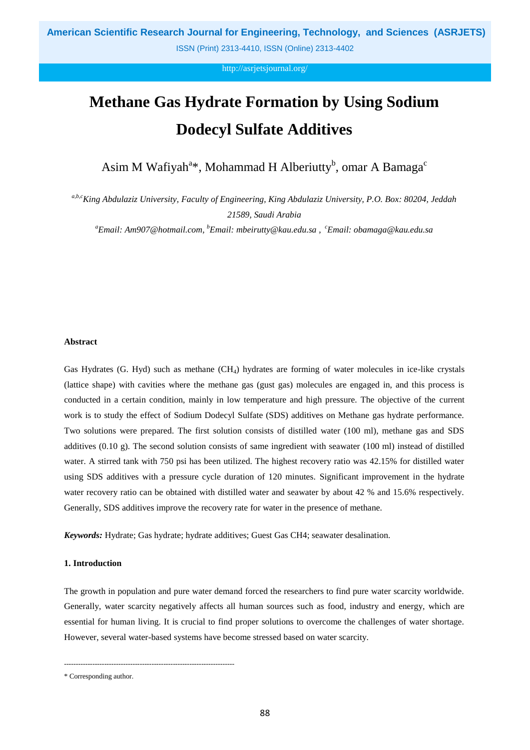http://asrjetsjournal.org/

# **Methane Gas Hydrate Formation by Using Sodium Dodecyl Sulfate Additives**

Asim M Wafiyah<sup>a\*</sup>, Mohammad H Alberiutty<sup>b</sup>, omar A Bamaga<sup>c</sup>

*a,b,cKing Abdulaziz University, Faculty of Engineering, King Abdulaziz University, P.O. Box: 80204, Jeddah 21589, Saudi Arabia*

*<sup>a</sup>Email: Am907@hotmail.com, <sup>b</sup>Email: mbeirutty@kau.edu.sa , <sup>c</sup>Email: obamaga@kau.edu.sa*

#### **Abstract**

Gas Hydrates (G. Hyd) such as methane (CH<sub>4</sub>) hydrates are forming of water molecules in ice-like crystals (lattice shape) with cavities where the methane gas (gust gas) molecules are engaged in, and this process is conducted in a certain condition, mainly in low temperature and high pressure. The objective of the current work is to study the effect of Sodium Dodecyl Sulfate (SDS) additives on Methane gas hydrate performance. Two solutions were prepared. The first solution consists of distilled water (100 ml), methane gas and SDS additives (0.10 g). The second solution consists of same ingredient with seawater (100 ml) instead of distilled water. A stirred tank with 750 psi has been utilized. The highest recovery ratio was 42.15% for distilled water using SDS additives with a pressure cycle duration of 120 minutes. Significant improvement in the hydrate water recovery ratio can be obtained with distilled water and seawater by about 42 % and 15.6% respectively. Generally, SDS additives improve the recovery rate for water in the presence of methane.

*Keywords:* Hydrate; Gas hydrate; hydrate additives; Guest Gas CH4; seawater desalination.

#### **1. Introduction**

The growth in population and pure water demand forced the researchers to find pure water scarcity worldwide. Generally, water scarcity negatively affects all human sources such as food, industry and energy, which are essential for human living. It is crucial to find proper solutions to overcome the challenges of water shortage. However, several water-based systems have become stressed based on water scarcity.

------------------------------------------------------------------------

<sup>\*</sup> Corresponding author.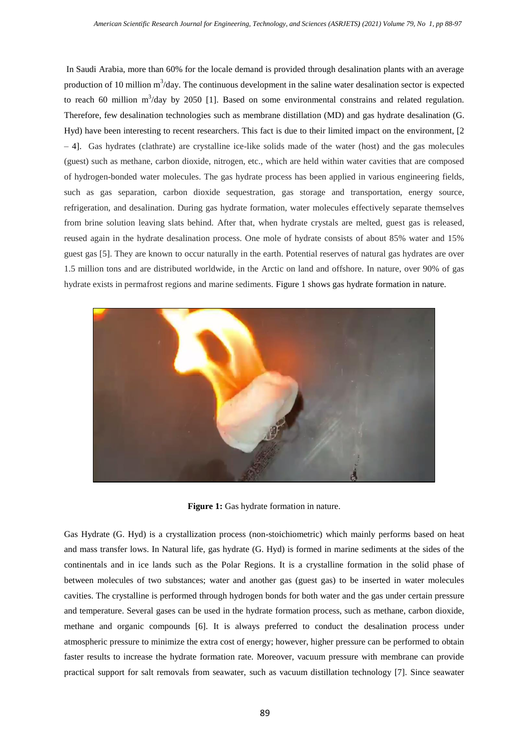In Saudi Arabia, more than 60% for the locale demand is provided through desalination plants with an average production of 10 million  $m^3$ /day. The continuous development in the saline water desalination sector is expected to reach 60 million  $m^3$ /day by 2050 [1]. Based on some environmental constrains and related regulation. Therefore, few desalination technologies such as membrane distillation (MD) and gas hydrate desalination (G. Hyd) have been interesting to recent researchers. This fact is due to their limited impact on the environment, [2 – 4]. Gas hydrates (clathrate) are crystalline ice-like solids made of the water (host) and the gas molecules (guest) such as methane, carbon dioxide, nitrogen, etc., which are held within water cavities that are composed of hydrogen-bonded water molecules. The gas hydrate process has been applied in various engineering fields, such as gas separation, carbon dioxide sequestration, gas storage and transportation, energy source, refrigeration, and desalination. During gas hydrate formation, water molecules effectively separate themselves from brine solution leaving slats behind. After that, when hydrate crystals are melted, guest gas is released, reused again in the hydrate desalination process. One mole of hydrate consists of about 85% water and 15% guest gas [5]. They are known to occur naturally in the earth. Potential reserves of natural gas hydrates are over 1.5 million tons and are distributed worldwide, in the Arctic on land and offshore. In nature, over 90% of gas hydrate exists in permafrost regions and marine sediments. Figure 1 shows gas hydrate formation in nature.



**Figure 1:** Gas hydrate formation in nature.

Gas Hydrate (G. Hyd) is a crystallization process (non-stoichiometric) which mainly performs based on heat and mass transfer lows. In Natural life, gas hydrate (G. Hyd) is formed in marine sediments at the sides of the continentals and in ice lands such as the Polar Regions. It is a crystalline formation in the solid phase of between molecules of two substances; water and another gas (guest gas) to be inserted in water molecules cavities. The crystalline is performed through hydrogen bonds for both water and the gas under certain pressure and temperature. Several gases can be used in the hydrate formation process, such as methane, carbon dioxide, methane and organic compounds [6]. It is always preferred to conduct the desalination process under atmospheric pressure to minimize the extra cost of energy; however, higher pressure can be performed to obtain faster results to increase the hydrate formation rate. Moreover, vacuum pressure with membrane can provide practical support for salt removals from seawater, such as vacuum distillation technology [7]. Since seawater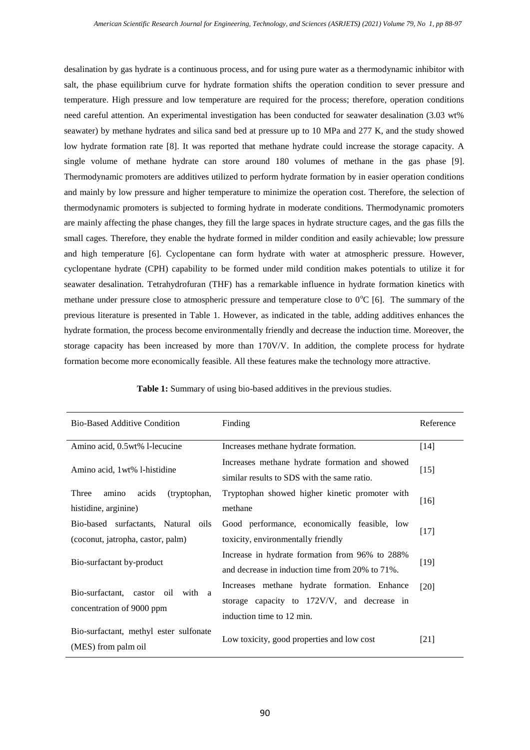desalination by gas hydrate is a continuous process, and for using pure water as a thermodynamic inhibitor with salt, the phase equilibrium curve for hydrate formation shifts the operation condition to sever pressure and temperature. High pressure and low temperature are required for the process; therefore, operation conditions need careful attention. An experimental investigation has been conducted for seawater desalination (3.03 wt% seawater) by methane hydrates and silica sand bed at pressure up to 10 MPa and 277 K, and the study showed low hydrate formation rate [8]. It was reported that methane hydrate could increase the storage capacity. A single volume of methane hydrate can store around 180 volumes of methane in the gas phase [9]. Thermodynamic promoters are additives utilized to perform hydrate formation by in easier operation conditions and mainly by low pressure and higher temperature to minimize the operation cost. Therefore, the selection of thermodynamic promoters is subjected to forming hydrate in moderate conditions. Thermodynamic promoters are mainly affecting the phase changes, they fill the large spaces in hydrate structure cages, and the gas fills the small cages. Therefore, they enable the hydrate formed in milder condition and easily achievable; low pressure and high temperature [6]. Cyclopentane can form hydrate with water at atmospheric pressure. However, cyclopentane hydrate (CPH) capability to be formed under mild condition makes potentials to utilize it for seawater desalination. Tetrahydrofuran (THF) has a remarkable influence in hydrate formation kinetics with methane under pressure close to atmospheric pressure and temperature close to  $0^{\circ}C$  [6]. The summary of the previous literature is presented in Table 1. However, as indicated in the table, adding additives enhances the hydrate formation, the process become environmentally friendly and decrease the induction time. Moreover, the storage capacity has been increased by more than 170V/V. In addition, the complete process for hydrate formation become more economically feasible. All these features make the technology more attractive.

| <b>Bio-Based Additive Condition</b>                                      | Finding                                                                                                                  | Reference |
|--------------------------------------------------------------------------|--------------------------------------------------------------------------------------------------------------------------|-----------|
| Amino acid, 0.5 wt% 1-lecucine                                           | Increases methane hydrate formation.                                                                                     | $[14]$    |
| Amino acid, 1 wt% 1-histidine                                            | Increases methane hydrate formation and showed<br>similar results to SDS with the same ratio.                            | $[15]$    |
| Three<br>amino<br>acids<br>(tryptophan,<br>histidine, arginine)          | Tryptophan showed higher kinetic promoter with<br>methane                                                                | $[16]$    |
| Bio-based surfactants, Natural oils<br>(coconut, jatropha, castor, palm) | Good performance, economically feasible, low<br>toxicity, environmentally friendly                                       | $[17]$    |
| Bio-surfactant by-product                                                | Increase in hydrate formation from 96% to 288%<br>and decrease in induction time from 20% to 71%.                        | $[19]$    |
| Bio-surfactant, castor<br>oil with a<br>concentration of 9000 ppm        | Increases methane hydrate formation. Enhance<br>storage capacity to 172V/V, and decrease in<br>induction time to 12 min. | [20]      |
| Bio-surfactant, methyl ester sulfonate<br>(MES) from palm oil            | Low toxicity, good properties and low cost                                                                               | $[21]$    |

**Table 1:** Summary of using bio-based additives in the previous studies.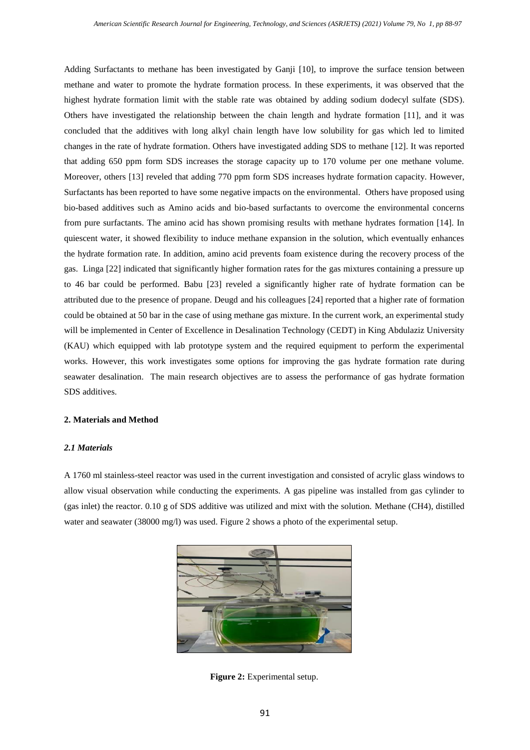Adding Surfactants to methane has been investigated by Ganji [10], to improve the surface tension between methane and water to promote the hydrate formation process. In these experiments, it was observed that the highest hydrate formation limit with the stable rate was obtained by adding sodium dodecyl sulfate (SDS). Others have investigated the relationship between the chain length and hydrate formation [11], and it was concluded that the additives with long alkyl chain length have low solubility for gas which led to limited changes in the rate of hydrate formation. Others have investigated adding SDS to methane [12]. It was reported that adding 650 ppm form SDS increases the storage capacity up to 170 volume per one methane volume. Moreover, others [13] reveled that adding 770 ppm form SDS increases hydrate formation capacity. However, Surfactants has been reported to have some negative impacts on the environmental. Others have proposed using bio-based additives such as Amino acids and bio-based surfactants to overcome the environmental concerns from pure surfactants. The amino acid has shown promising results with methane hydrates formation [14]. In quiescent water, it showed flexibility to induce methane expansion in the solution, which eventually enhances the hydrate formation rate. In addition, amino acid prevents foam existence during the recovery process of the gas. Linga [22] indicated that significantly higher formation rates for the gas mixtures containing a pressure up to 46 bar could be performed. Babu [23] reveled a significantly higher rate of hydrate formation can be attributed due to the presence of propane. Deugd and his colleagues [24] reported that a higher rate of formation could be obtained at 50 bar in the case of using methane gas mixture. In the current work, an experimental study will be implemented in Center of Excellence in Desalination Technology (CEDT) in King Abdulaziz University (KAU) which equipped with lab prototype system and the required equipment to perform the experimental works. However, this work investigates some options for improving the gas hydrate formation rate during seawater desalination. The main research objectives are to assess the performance of gas hydrate formation SDS additives.

## **2. Materials and Method**

## *2.1 Materials*

A 1760 ml stainless-steel reactor was used in the current investigation and consisted of acrylic glass windows to allow visual observation while conducting the experiments. A gas pipeline was installed from gas cylinder to (gas inlet) the reactor. 0.10 g of SDS additive was utilized and mixt with the solution. Methane (CH4), distilled water and seawater (38000 mg/l) was used. Figure 2 shows a photo of the experimental setup.



**Figure 2:** Experimental setup.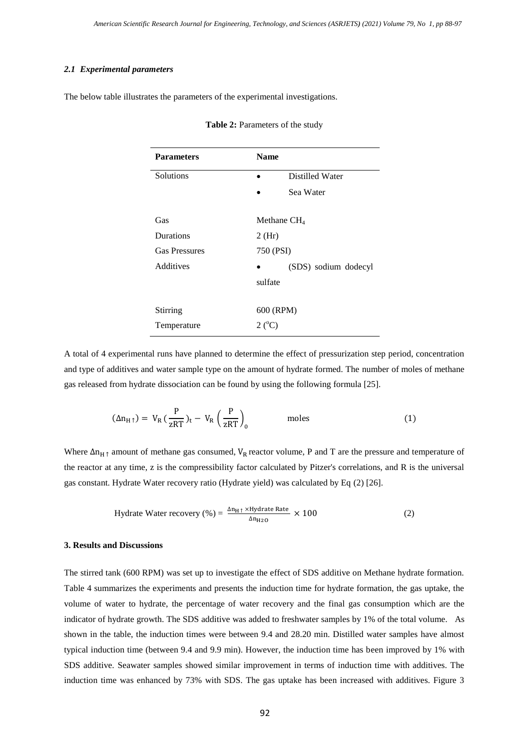## *2.1 Experimental parameters*

The below table illustrates the parameters of the experimental investigations.

| <b>Parameters</b>    | <b>Name</b>          |
|----------------------|----------------------|
| <b>Solutions</b>     | Distilled Water      |
|                      | Sea Water            |
| Gas                  | Methane $CH4$        |
| Durations            | $2$ (Hr)             |
| <b>Gas Pressures</b> | 750 (PSI)            |
| Additives            | (SDS) sodium dodecyl |
|                      | sulfate              |
| Stirring             | 600 (RPM)            |
| Temperature          | $2(^{\circ}C)$       |

Table 2: Parameters of the study

A total of 4 experimental runs have planned to determine the effect of pressurization step period, concentration and type of additives and water sample type on the amount of hydrate formed. The number of moles of methane gas released from hydrate dissociation can be found by using the following formula [25].

$$
(\Delta n_{H\uparrow}) = V_R \left(\frac{P}{zRT}\right)_t - V_R \left(\frac{P}{zRT}\right)_0 \qquad \text{moles} \qquad (1)
$$

Where  $\Delta n_{H\uparrow}$  amount of methane gas consumed,  $V_R$  reactor volume, P and T are the pressure and temperature of the reactor at any time, z is the compressibility factor calculated by Pitzer's correlations, and R is the universal gas constant. Hydrate Water recovery ratio (Hydrate yield) was calculated by Eq (2) [26].

$$
Hydrate Water recovery (\% ) = \frac{\Delta n_{H \uparrow} \times Hydrate Rate}{\Delta n_{H2O}} \times 100
$$
 (2)

## **3. Results and Discussions**

The stirred tank (600 RPM) was set up to investigate the effect of SDS additive on Methane hydrate formation. Table 4 summarizes the experiments and presents the induction time for hydrate formation, the gas uptake, the volume of water to hydrate, the percentage of water recovery and the final gas consumption which are the indicator of hydrate growth. The SDS additive was added to freshwater samples by 1% of the total volume. As shown in the table, the induction times were between 9.4 and 28.20 min. Distilled water samples have almost typical induction time (between 9.4 and 9.9 min). However, the induction time has been improved by 1% with SDS additive. Seawater samples showed similar improvement in terms of induction time with additives. The induction time was enhanced by 73% with SDS. The gas uptake has been increased with additives. Figure 3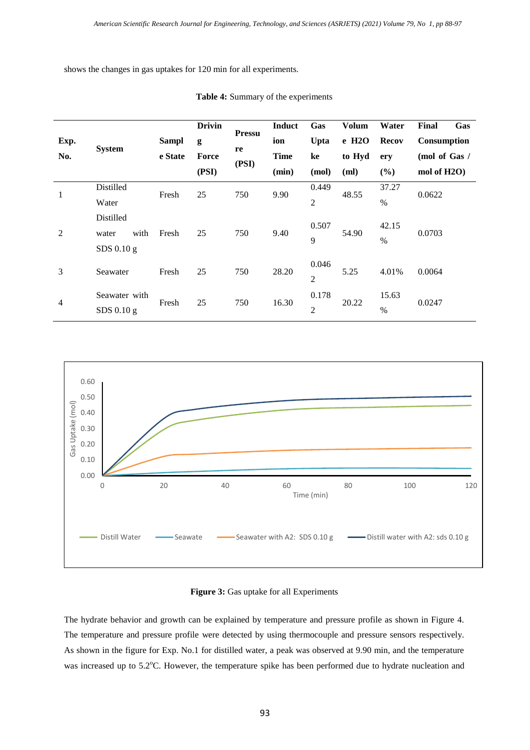shows the changes in gas uptakes for 120 min for all experiments.

|                |                               |                         | <b>Drivin</b>             | <b>Pressu</b> | <b>Induct</b> | Gas                     | <b>Volum</b> | Water                  | Final<br>Gas |
|----------------|-------------------------------|-------------------------|---------------------------|---------------|---------------|-------------------------|--------------|------------------------|--------------|
| Exp.           | <b>System</b>                 | <b>Sampl</b><br>e State | g<br>re<br>Force<br>(PSI) | ion           | Upta          | $e$ H <sub>2</sub> O    | <b>Recov</b> | Consumption            |              |
| No.            |                               |                         |                           | <b>Time</b>   | ke            | to Hyd                  | ery          | (mol of Gas /          |              |
|                |                               |                         | (PSI)                     |               | (min)         | (mol)                   | (ml)         | (%)                    | mol of H2O)  |
| 1              | Distilled                     | Fresh                   | 25<br>750                 |               | 9.90          | 0.449                   | 48.55        | 37.27                  | 0.0622       |
|                | Water                         |                         |                           |               |               | $\mathfrak{2}$          |              | $\%$                   |              |
| $\overline{2}$ | Distilled<br>with<br>water    | Fresh                   | 25                        | 750           | 9.40          | 0.507<br>9              | 54.90        | 42.15<br>$\%$          | 0.0703       |
|                | $SDS$ 0.10 g                  |                         |                           |               |               |                         |              |                        |              |
| 3              | Seawater                      | Fresh                   | 25                        | 750           | 28.20         | 0.046<br>$\overline{2}$ | 5.25         | 4.01%                  | 0.0064       |
| $\overline{4}$ | Seawater with<br>$SDS$ 0.10 g | Fresh                   | 25                        | 750           | 16.30         | 0.178<br>$\overline{2}$ | 20.22        | 15.63<br>$\frac{0}{0}$ | 0.0247       |

**Table 4:** Summary of the experiments



# **Figure 3:** Gas uptake for all Experiments

The hydrate behavior and growth can be explained by temperature and pressure profile as shown in Figure 4. The temperature and pressure profile were detected by using thermocouple and pressure sensors respectively. As shown in the figure for Exp. No.1 for distilled water, a peak was observed at 9.90 min, and the temperature was increased up to 5.2°C. However, the temperature spike has been performed due to hydrate nucleation and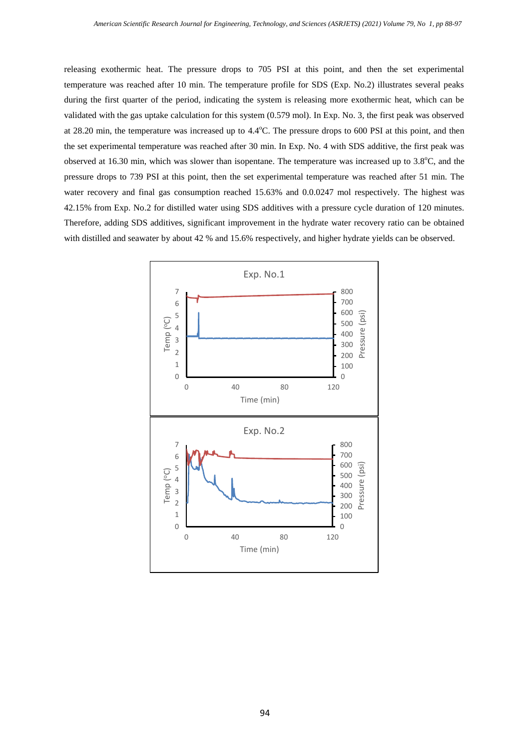releasing exothermic heat. The pressure drops to 705 PSI at this point, and then the set experimental temperature was reached after 10 min. The temperature profile for SDS (Exp. No.2) illustrates several peaks during the first quarter of the period, indicating the system is releasing more exothermic heat, which can be validated with the gas uptake calculation for this system (0.579 mol). In Exp. No. 3, the first peak was observed at 28.20 min, the temperature was increased up to 4.4°C. The pressure drops to 600 PSI at this point, and then the set experimental temperature was reached after 30 min. In Exp. No. 4 with SDS additive, the first peak was observed at 16.30 min, which was slower than isopentane. The temperature was increased up to  $3.8^{\circ}$ C, and the pressure drops to 739 PSI at this point, then the set experimental temperature was reached after 51 min. The water recovery and final gas consumption reached 15.63% and 0.0.0247 mol respectively. The highest was 42.15% from Exp. No.2 for distilled water using SDS additives with a pressure cycle duration of 120 minutes. Therefore, adding SDS additives, significant improvement in the hydrate water recovery ratio can be obtained with distilled and seawater by about 42 % and 15.6% respectively, and higher hydrate yields can be observed.

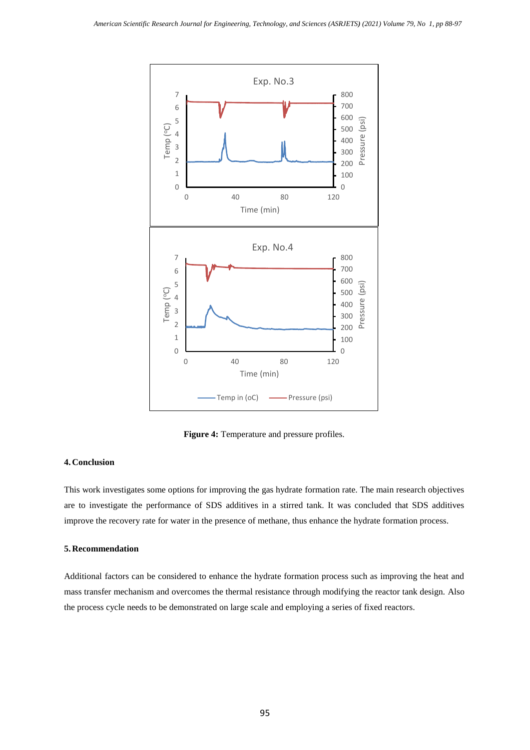

**Figure 4:** Temperature and pressure profiles.

# **4. Conclusion**

This work investigates some options for improving the gas hydrate formation rate. The main research objectives are to investigate the performance of SDS additives in a stirred tank. It was concluded that SDS additives improve the recovery rate for water in the presence of methane, thus enhance the hydrate formation process.

## **5. Recommendation**

Additional factors can be considered to enhance the hydrate formation process such as improving the heat and mass transfer mechanism and overcomes the thermal resistance through modifying the reactor tank design. Also the process cycle needs to be demonstrated on large scale and employing a series of fixed reactors.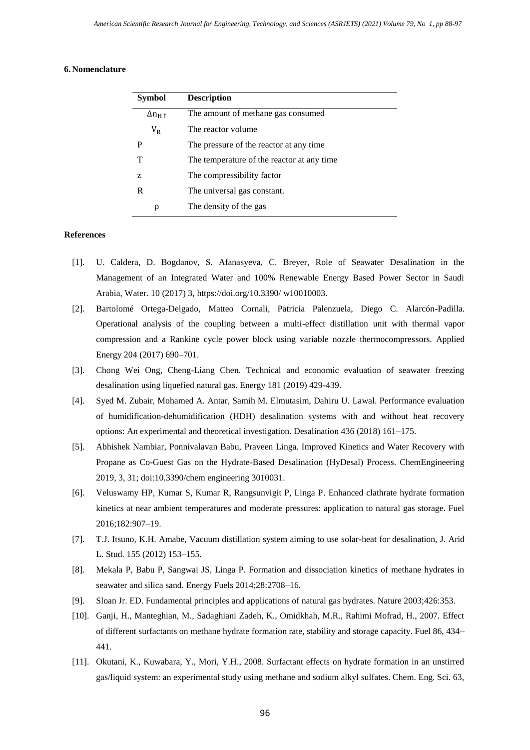## **6. Nomenclature**

| <b>Symbol</b>                | <b>Description</b>                          |
|------------------------------|---------------------------------------------|
| $\Delta n_{\rm H\,\uparrow}$ | The amount of methane gas consumed          |
| $V_{R}$                      | The reactor volume                          |
| P                            | The pressure of the reactor at any time     |
| т                            | The temperature of the reactor at any time. |
| Z                            | The compressibility factor                  |
| R                            | The universal gas constant.                 |
| ρ                            | The density of the gas                      |

## **References**

- [1]. U. Caldera, D. Bogdanov, S. Afanasyeva, C. Breyer, Role of Seawater Desalination in the Management of an Integrated Water and 100% Renewable Energy Based Power Sector in Saudi Arabia, Water. 10 (2017) 3,<https://doi.org/10.3390/> w10010003.
- [2]. Bartolomé Ortega-Delgado, Matteo Cornali, Patricia Palenzuela, Diego C. Alarcón-Padilla. Operational analysis of the coupling between a multi-effect distillation unit with thermal vapor compression and a Rankine cycle power block using variable nozzle thermocompressors. Applied Energy 204 (2017) 690–701.
- [3]. Chong Wei Ong, Cheng-Liang Chen. Technical and economic evaluation of seawater freezing desalination using liquefied natural gas. Energy 181 (2019) 429-439.
- [4]. Syed M. Zubair, Mohamed A. Antar, Samih M. Elmutasim, Dahiru U. Lawal. Performance evaluation of humidification-dehumidification (HDH) desalination systems with and without heat recovery options: An experimental and theoretical investigation. Desalination 436 (2018) 161–175.
- [5]. Abhishek Nambiar, Ponnivalavan Babu, Praveen Linga. Improved Kinetics and Water Recovery with Propane as Co-Guest Gas on the Hydrate-Based Desalination (HyDesal) Process. ChemEngineering 2019, 3, 31; doi:10.3390/chem engineering 3010031.
- [6]. Veluswamy HP, Kumar S, Kumar R, Rangsunvigit P, Linga P. Enhanced clathrate hydrate formation kinetics at near ambient temperatures and moderate pressures: application to natural gas storage. Fuel 2016;182:907–19.
- [7]. T.J. Itsuno, K.H. Amabe, Vacuum distillation system aiming to use solar-heat for desalination, J. Arid L. Stud. 155 (2012) 153–155.
- [8]. Mekala P, Babu P, Sangwai JS, Linga P. Formation and dissociation kinetics of methane hydrates in seawater and silica sand. Energy Fuels 2014;28:2708–16.
- [9]. Sloan Jr. ED. Fundamental principles and applications of natural gas hydrates. Nature 2003;426:353.
- [10]. Ganji, H., Manteghian, M., Sadaghiani Zadeh, K., Omidkhah, M.R., Rahimi Mofrad, H., 2007. Effect of different surfactants on methane hydrate formation rate, stability and storage capacity. Fuel 86, 434– 441.
- [11]. Okutani, K., Kuwabara, Y., Mori, Y.H., 2008. Surfactant effects on hydrate formation in an unstirred gas/liquid system: an experimental study using methane and sodium alkyl sulfates. Chem. Eng. Sci. 63,